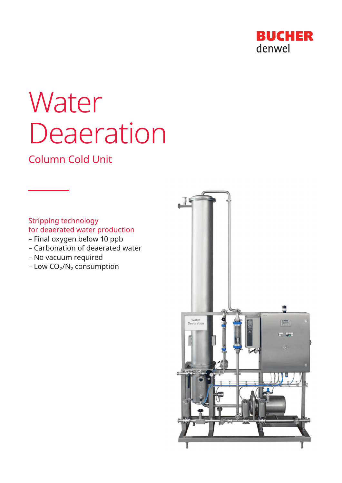

# **Water** Deaeration

# Column Cold Unit

Stripping technology for deaerated water production

- Final oxygen below 10 ppb
- Carbonation of deaerated water
- No vacuum required
- Low  $CO<sub>2</sub>/N<sub>2</sub>$  consumption